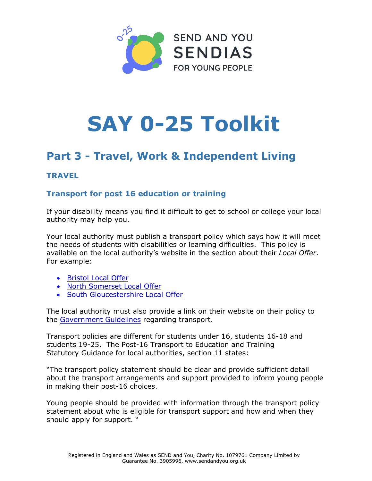

# **SAY 0**-25 Toolkit

# Part 3 - Travel, Work & Independent Living

# **TRAVEL**

# Transport for post 16 education or training

If your disability means you find it difficult to get to school or college your local authority may help you.

Your local authority must publish a transport policy which says how it will meet the needs of students with disabilities or learning difficulties. This policy is available on the local authority's website in the section about their Local Offer. For example:

- Bristol Local Offer
- North Somerset Local Offer
- South Gloucestershire Local Offer

The local authority must also provide a link on their website on their policy to the Government Guidelines regarding transport.

Transport policies are different for students under 16, students 16-18 and students 19-25. The Post-16 Transport to Education and Training Statutory Guidance for local authorities, section 11 states:

"The transport policy statement should be clear and provide sufficient detail about the transport arrangements and support provided to inform young people in making their post-16 choices.

Young people should be provided with information through the transport policy statement about who is eligible for transport support and how and when they should apply for support. "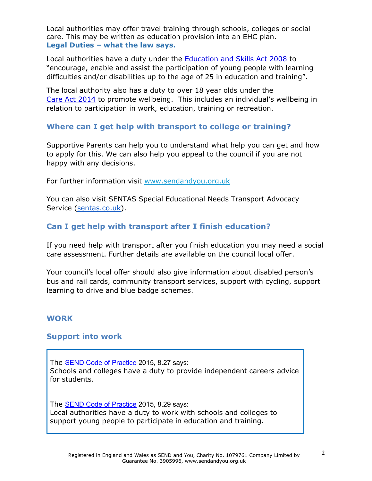Local authorities may offer travel training through schools, colleges or social care. This may be written as education provision into an EHC plan. Legal Duties – what the law says.

Local authorities have a duty under the Education and Skills Act 2008 to "encourage, enable and assist the participation of young people with learning difficulties and/or disabilities up to the age of 25 in education and training".

The local authority also has a duty to over 18 year olds under the Care Act 2014 to promote wellbeing. This includes an individual's wellbeing in relation to participation in work, education, training or recreation.

# Where can I get help with transport to college or training?

Supportive Parents can help you to understand what help you can get and how to apply for this. We can also help you appeal to the council if you are not happy with any decisions.

For further information visit www.[sendandyou](http://www.sendandyou.org.uk).org.uk

You can also visit SENTAS Special Educational Needs Transport Advocacy Service (sentas.co.uk).

# Can I get help with transport after I finish education?

If you need help with transport after you finish education you may need a social care assessment. Further details are available on the council local offer.

Your council's local offer should also give information about disabled person's bus and rail cards, community transport services, support with cycling, support learning to drive and blue badge schemes.

#### WORK

#### Support into work

The SEND Code of Practice 2015, 8.27 says: Schools and colleges have a duty to provide independent careers advice for students.

The **SEND Code of Practice** 2015, 8.29 says: Local authorities have a duty to work with schools and colleges to support young people to participate in education and training.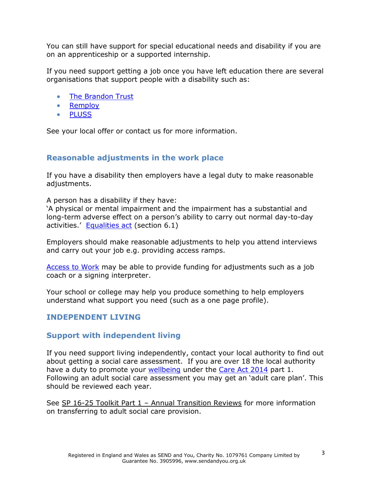You can still have support for special educational needs and disability if you are on an apprenticeship or a supported internship.

If you need support getting a job once you have left education there are several organisations that support people with a disability such as:

- The Brandon Trust
- Remploy
- PLUSS

See your local offer or contact us for more information.

#### Reasonable adjustments in the work place

If you have a disability then employers have a legal duty to make reasonable adjustments.

A person has a disability if they have:

'A physical or mental impairment and the impairment has a substantial and long-term adverse effect on a person's ability to carry out normal day-to-day activities.' Equalities act (section 6.1)

Employers should make reasonable adjustments to help you attend interviews and carry out your job e.g. providing access ramps.

Access to Work may be able to provide funding for adjustments such as a job coach or a signing interpreter.

Your school or college may help you produce something to help employers understand what support you need (such as a one page profile).

#### INDEPENDENT LIVING

#### Support with independent living

If you need support living independently, contact your local authority to find out about getting a social care assessment. If you are over 18 the local authority have a duty to promote your wellbeing under the Care Act 2014 part 1. Following an adult social care assessment you may get an 'adult care plan'. This should be reviewed each year.

See SP 16-25 Toolkit Part 1 – Annual Transition Reviews for more information on transferring to adult social care provision.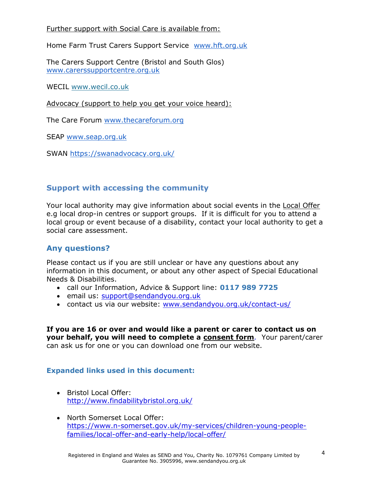Further support with Social Care is available from:

Home Farm Trust Carers Support Service [www.hft.org.uk](http://www.hft.org.uk)

The Carers Support Centre (Bristol and South Glos) [www.carerssupportcentre.org.uk](http://www.carerssupportcentre.org.uk)

WECIL [www.wecil.co.uk](http://www.wecil.co.uk)

Advocacy (support to help you get your voice heard):

The Care Forum [www.thecareforum.org](http://www.thecareforum.org) 

SEAP [www.seap.org.uk](http://www.seap.org.uk) 

SWAN<https://swanadvocacy.org.uk/>

### Support with accessing the community

Your local authority may give information about social events in the Local Offer e.g local drop-in centres or support groups. If it is difficult for you to attend a local group or event because of a disability, contact your local authority to get a social care assessment.

#### Any questions?

Please contact us if you are still unclear or have any questions about any information in this document, or about any other aspect of Special Educational Needs & Disabilities.

- call our Information, Advice & Support line: 0117 989 7725
- email us: support@[sendandyou](mailto:support@sendandyou.org.uk).org.uk
- contact us via our website: [www.sendandyou.org.uk/contact-us/](http://www.sendandyou.org.uk/contact-us/)

If you are 16 or over and would like a parent or carer to contact us on your behalf, you will need to complete a consent form. Your parent/carer can ask us for one or you can download one from our website.

#### Expanded links used in this document:

- Bristol Local Offer: <http://www.findabilitybristol.org.uk/>
- North Somerset Local Offer: [https://www.n-somerset.gov.uk/my-services/children-young-people](https://www.n-somerset.gov.uk/my-services/children-young-people-families/local-offer-and-early-help/local-offer/)families[/local-offer-and-early-help/local-offer/](https://www.n-somerset.gov.uk/my-services/children-young-people-families/local-offer-and-early-help/local-offer/)